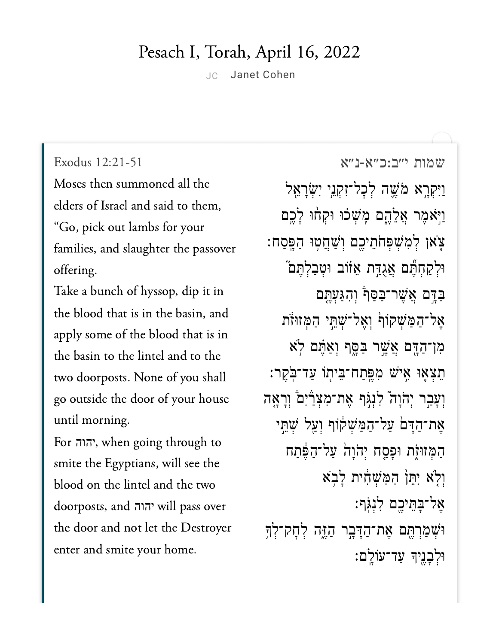## Pesach I, Torah, April 16, 2022

JC Janet [Cohen](https://www.sefaria.org/profile/janet-cohen)

Exodus 12:21-51

Moses then summoned all the elders of Israel and said to them, "Go, pick out lambs for your families, and slaughter the passover offering.

Take a bunch of hyssop, dip it in the blood that is in the basin, and apply some of the blood that is in the basin to the lintel and to the two doorposts. None of you shall go outside the door of your house until morning. <u>,</u><br>until morning.<br>For הוה, when going through to

יהוה smite the Egyptians, will see the blood on the lintel and the two  $t = 1$  and  $t = 1$ יהוהthe door and not let the Destroyer enter and smite your home.

שמות [י״ב:כ״א-נ״א](https://www.sefaria.org/Exodus%2012:21-51) 12:21-51 Exodus וַיִּקְרָא מֹּשֵׁה לְכָל־זְקָנֵי יִשְׂרָאֵל וַיִּאֹמֶר אֱלֶהֱם מֶּשִׁכוּ וּקִחוּ לָבֵם צֹאן לִמְשִׁפִּחֹתֵיכֶם וְשַׁחֲטְוּ הַפְּסַח: ּוּלְקַחְתֶּֽׁם אֲגָדֵּת אֵזֹוֹב וּטִבַלְתֵּם ַּבְּדֶּם אֲשֶׁר־ּבַּסֵּף וְהָגַעָּתֵּם אֲל־הַמַּשְׁקוֹף וְאֱל־שָׁתֵּי הַמְּזוּזֹת ִמן־ַהָּ֖דם ֲאֶׁ֣שר ַּבָּ֑סף ְוַאֶּ֗תם ֹ֥לא ֵתְצ֛אּו ִ֥איׁש ִמֶּֽפַתח־ֵּבי֖תֹו ַעד־ֹּֽבֶקר׃ וְעָבָר יִהֹוָה יִלְנְגְּף אֶת־מְצָרַיִם וְרָאֶה אֶת־הַדָּםׂ עַל־הַמַּשִׁקׂוֹף וְעַל שָׁתֵּי הַמְּזוּזָת וּפַּסַח יְהֹוַה עַל־הַפֵּתַח וִלְא יִתֵּן הַמַּשְׁחָּת לָבְא ֶאל־ָּבֵּתיֶ֖כם ִלְנֹּֽגף׃ ּוּשְׁמַרְהֶם אֶת־הַדָּבְר הַזֶּה לְחָק־לְךָ ּוְלָבֶ֖ניָך ַעד־עֹוָֽלם׃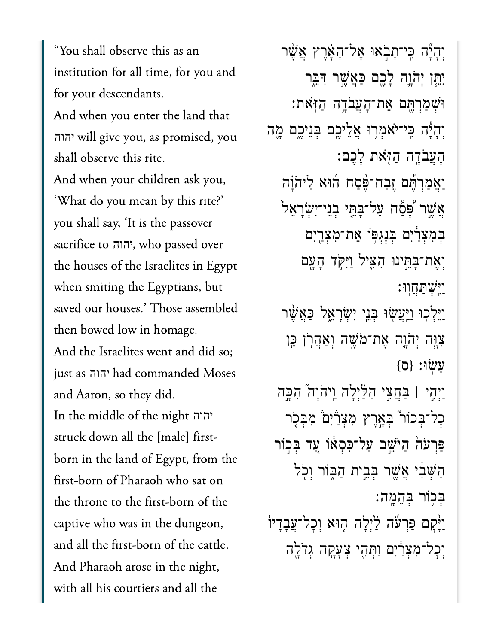"You shall observe this as an institution for all time, for you and for your descendants. And when you enter the land that יהוה will give you, as promised, you shall observe this rite. And when your children ask you, 'What do you mean by this rite?' you shall say, 'It is the passover sacrifice to יהוה, who passed over the houses of the Israelites in Egypt when smiting the Egyptians, but saved our houses.' Those assembled then bowed low in homage. And the Israelites went and did so; just as יהוה had commanded Moses and Aaron, so they did. In the middle of the night יהוה struck down all the [male] firstborn in the land of Egypt, from the first-born of Pharaoh who sat on the throne to the first-born of the captive who was in the dungeon, and all the first-born of the cattle. And Pharaoh arose in the night, with all his courtiers and all the

וְהַיָּّה כֵּי־תַבְאוּ אֱל־הָאֲרֶץ אֲשֶׁר יִתֵּן יְהֹוֶה לָכֶם כַּאֲשֵׁר דִּבֵּר וּשִׁמַרְתֵּם אֵת־הָעֲבֹדֶה הַזְּאת: וְהָיָّה כֵּי־יֹאמִרְוּ אֲלֵיכֵם בִּנֵיכֵם מֵה הַעֲבֹדֵה הַזִּאת לַכֵם: וַאֲמַרְהָם זֵבַח־פֵּסַח הוֹא לַיהֹוָה אֲשֵׁר 'פָּסָۢח עַל־בָּתֵּי בְנֵי־יִשְׂרָאֵל' בִּמְצְרַ֫יִם בְּנָגְפְּוֹ אֱת־מִצְרֵיִם וְאֵת־בַּחֵינוּ הָצִיל וַיִּקֹד הַעֲם <u>וישתחוו:</u> וַיֵּלְכִוּ וַיַּעֲשָׂוּ בְּנֵי יִשְׂרָאֵל כַּאֲשֵׁר צְוֶה יְהֹוֶה אֵת־מֹשֵׁה וְאַהֲרְן כֵּן עשו: {ס} וַיִּהֵי | בַּחֲצֵי הַלַּיְלָה וַיהֹוָה ׁהִכֵּה כַל־בִּכוֹר בִאֱרֵץ מִצְרָ֫יִם מִבְּכִר פּרִעֹהֹ הַיֹּשֵׁב עַל־כִּסְאוֹ עַד בִּכְוֹר הַשָּׁבִּי אֲשֱר בְּבֵית הַבְּוֹר וְכִל בִּכְוֹר בְּהֶמֱה׃ וַיַּקַם פַּרְעֹׁה לַיִּלַה הָוּא וְכָל־עֲבָדָיוֹ וְכַל־מִצְרַיִם וַתְּהֵי צְעֲקָה גִדֹלֵה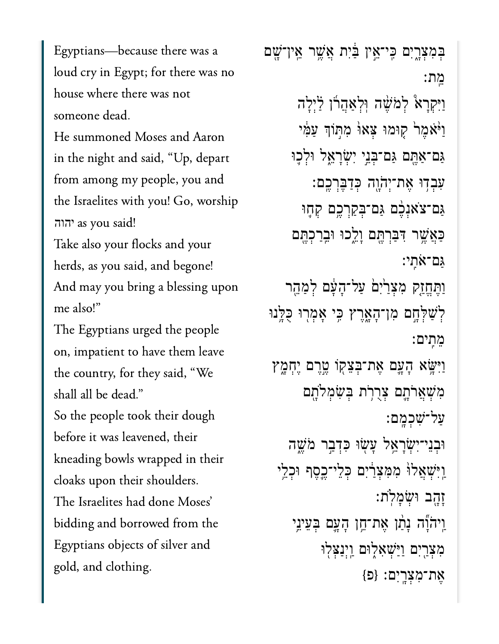Egyptians-because there was a loud cry in Egypt; for there was no house where there was not someone dead.

He summoned Moses and Aaron from a mongolar my people of  $\frac{1}{2}$  and  $\frac{1}{2}$  and  $\frac{1}{2}$  and  $\frac{1}{2}$  and  $\frac{1}{2}$  and  $\frac{1}{2}$  and  $\frac{1}{2}$  and  $\frac{1}{2}$  and  $\frac{1}{2}$  and  $\frac{1}{2}$  and  $\frac{1}{2}$  and  $\frac{1}{2}$  and  $\frac{1}{2}$  and  $\frac{1}{2}$  from among my people, you and the Israelites with you! Go, worship הוה as you said!

Take also your flocks and your  $\begin{array}{ccc} \n\cdot & \cdot & \cdot \\
\downarrow & \downarrow & \cdot \\
\downarrow & \downarrow & \cdot\n\end{array}$ herds, as you said, and begone!<br>And mav vou bring a blessing upon me also!"

The Egyptians urged the people on, impatient to have them leave the country, for they said, "We shall all be dead." So the people took their dough before it was leavened, their  $1 \quad 1 \quad 1 \quad 1$ cloaks upon their shoulders. The Israelites had done Moses' bidding and borrowed from the Egyptians objects of silver and gold, and clothing.

ְּבִמְצָ֑רִים ִּֽכי־ֵ֣אין ַּ֔בִית ֲאֶׁ֥שר ֵֽאין־ָׁ֖שם ֵֽמת׃ וַיִּקְרָא יִלְמֹשֶׁה וְלְאַהֲרוֹ לַיְלָה וַיֹּאָמֶר קִוּמוּ צָאוּ מִתְּוֹךְ עַמֶּי ַּגַם־אַחֱם גַּם־בְּנֵי יְשָׂרָאֱל וּלְכֶוּ ִעְבִדְוּ אֶת־יְהֹוֶה כְּדַבֶּרְכֶם: ַּגַם־צֹאגָכֶ֖ם גַּם־בִּקַרְכֶם קְחֶוּ ַּכְאֲשֶׁר דִּבַּרְחֶם וָלֵכוּ וּבֵרַכְהֵּם ַּגם־ֹאִֽתי׃ וַתֵּחֵזַק מִצְרַיִם עַל־הָעָּם לְמַהֵר ַלְשָׁלְחֶם מְן־הָאָרֵץ כֵּי אָמְרִוּ כָּלֵּֽנוּ ֵמִֽתים׃ וַיִּשָּׂא הָעֲם אֵת־בִּצֵקְוֹ מֱרֵם יֵחְמָץ מִשְׁאֲרֹתֱם צְרֻרֹת בִּשְׂמִלֹּתֵם ַעל־ִׁשְכָֽמם׃ וּבִנֵּי־יִשְׂרָאֱל עָשְׂוּ כִּדְבָר מֹּשֵׁה וִיּ**ְּשָׁאֲל<sup>ַןְ</sup> מִמְּצְרַיִּם כְּלֵי־כֵ**סֶף וּכְלֵי ָזָ֖הב ּוְׂשָמֹֽלת׃ וַיהֹוֶّה נָתַ֫ו אֶת־חֵן הָעֲם בִּעֵינֵי מְצָרַיִם וַיַּּשָׁאָלִוּם וַיִּנַצִּלִוּ ֶאת־ִמְצָֽרִים׃ }פ{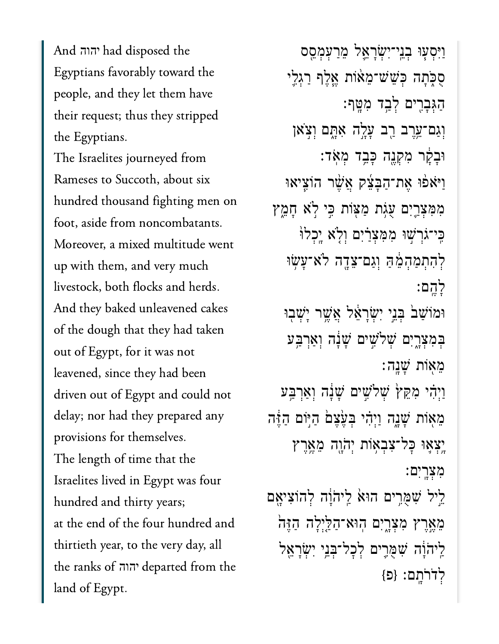$\Delta = 1$   $\Rightarrow$   $\Rightarrow$   $\Delta = 1$   $\Rightarrow$   $\Rightarrow$   $\Delta = 1$ Egyptians favorably toward the people, and they let them have their request; thus they stripped יהוה the Egyptians.

The Israelites journeyed from Rameses to Succoth, about six hundred thousand fighting men on foot, aside from noncombatants. up with them, and very muchup with them, and very much livestock, both flocks and herds. And they baked unleavened cakes of the dough that they had taken out of Egypt, for it was not leavened, since they had been driven out of Egypt and could not delay; nor had they prepared any provisions for themselves. The length of time that the  $\mathbf{r}$  is the state of the thirty years; hundred and thirty years; at the end of the four hundred and thirtieth year, to the very day, all  $l = 1$   $C_{\text{m}}$ יהוהland of Egypt.

ַוִּיְס֧עּו ְבֵֽני־ִיְׂשָרֵ֛אל ֵמַרְעְמֵ֖סס ּסִכְּתַה כְּשֵׁשׁ־מֵאּוֹת אֱלֶף רַגְלֵי ַהְגִּבָרִים לְבַד מִטֵּף: וְגַם־אֱרֵב רַב עָלֶה אָתָם וִצְאו ּוּבָקָר מִקְנֵה כָּבֵד מִאֹד: וַיֹּאפֿוּ אֶת־הַבָּצֶק אֱשֶׁר הוֹצֵיאוּ מִמְצָרֵיִם עָגְת מַצּוֹת כֵּי לֹא חַמֵּץ ּכֵּי־גֹרְשִׁוּ מִמְּצָרַיִם וְלָׂא יֶכְלוֹ ְלִהְתַמְהֵ֔מַּה ְוַגם־ֵצָ֖דה ֹלא־ָעׂ֥שּו ָלֶֽהם׃ וּמוֹשַׁב<sup>י</sup> בְּנֵי יְשָׂרָאֵל אֲשֵׁר יָשָׁבְוּ בִּמְצָרֵיִם *שִׁלֹּשֵׁיִּם שַׁנָּה וְאַרְבֵּע* ֵמ֖אֹות ָׁשָֽנה׃ ַוְיָהִי מִקֵּץׂ שָׁלֹּשֵים שָׁנָּה וְאַרְבַּע ּמֵאִוֹת שָׁנֵה וַיִּהִי בְּעֵצֵם הַיִּוֹם הַזֶּה ַיְצְאֵוּ כָּל־צָבְאָוֹת יְהֹוֶה מֵאֱרֵץ ִמְצָֽרִים׃ ֵ֣ליל ִׁשֻּמִ֥רים הּו֙א ַֽליֹהָ֔וה ְלהֹוִציָ֖אם ֵמֶ֣אֶרץ ִמְצָ֑רִים ֽהּוא־ַהַּ֤לְיָלה ַהֶּז֙ה ַלִּיהֹוַּׁה שִׁמְּרֵים לְכָל־בְּנֵי יְשָׂרַאֱל ְלֹדֹרָֽתם׃ }פ{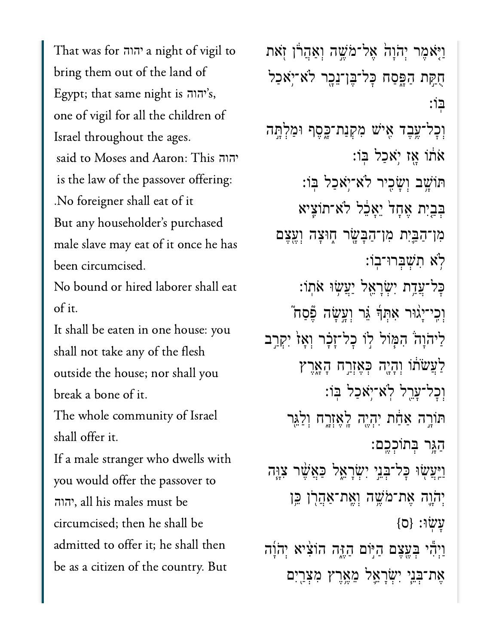$\Gamma$ land out of the land of the land of the land of the land of the land of the land of the land of the land of the land of the land of the land of the land of the land of the land of the land of the land of the land of t  $\begin{bmatrix} 1 & 1 & 1 \end{bmatrix}$  that same night is not night in  $\begin{bmatrix} 1 & 1 \end{bmatrix}$  יהוה's, one of vigil for all the children of vigil the children of vigil the children of vigil the children of vigil the children of vigil the children of vigil the children of vigil the children of vigil the children of vigil the  $C \cdot 1C = 11.1 \pm 1.1$ יהוה Israel throughout the ages. יהוה  $\cdot$  1. M of the passover of the passover of the passover of the passover of the passover of the passover of the passover of the passover of the passover of the passover of the passover of the passover of the passover of is the law of the passover offering: . No foreigner shall eat of it But any householder's purchased male slave may eat of it once he has been circumcised. No bound or hired laborer shall eat  $\mathcal{L}$ It shall be eaten in one house: you shall not take any of the flesh outside the house; nor shall you break a bone of it. The whole community of Israel

shall offer it.

If a male stranger who dwells with you would offer the passover to circumcised; then he shall be shall be shall be shall be shall be shall be shall be shall be shall be shall be shall be shall be shall be shall be shall be shall be shall be shall be shall be shall be shall be shall be sha יהוהcircumcised; then he shall be admitted to offer it; he shall then be as a citizen of the country. But

וַיִּאמֶר יְהֹוָהֹ אֱל־מֹּשֶׁה וְאֲהֲרֹן זְאת ֻחַּ֣קת ַהָּ֑פַסח ׇּכל־ֶּבן־ֵנָ֖כר ֹלא־ֹ֥יאַכל ּֽבֹו׃ וְכָל־עֵבֵד אִישׁ מִקְנַת־כָּסֵף וּמַלְתֵּה  $\mathbf{r}$ וֹ אַז יֹאַכַל בּוֹ ּתֹוָׁ֥שב ְוָׂשִ֖כיר ֹלא־ֹ֥יאַכל ּֽבֹו׃ בְּבָיִת אֱחָדׂ יֵאֲכֶל לֹא־תוֹצֵיא ּמִן־הַבֵּיִת מִן־הַבָּשָׂר חֶוּצָה וְעֱצֶם ֹ֥לא ִתְׁשְּברּו־ֽבֹו׃ ַּכַל־עֲדֵת יְשָׂרַאֱל יַעֲשִׂוּ אֹתוֹ: ֿוְכֵי־יַגוּר אִתְּךָּ גֵּר וְעָשָׂה פֶּֿסַח ַלִּיהֹוָה ׁהִמְּוֹל לְוֹ כָל־זָכָר וְאָז יִקְרַב ַלְעֲשׂתו וְהָיָה כְּאֵזְרַח הָאָרֵץ ְוׇכל־ָעֵ֖רל ֹֽלא־ֹ֥יאַכל ּֽבֹו׃ ּתּוֹרֵה אַדָּח יִהְיֶה לָאֶזְרֶח וְלַ<sup>ּ</sup>גִּר ַהָּ֥גר ְּבתֹוְכֶֽכם׃ ַוַּיְּעֲשָׂוּ כָּל־בָּנֵי יִשְׂרָאֱל כַּאֲשֵׁר צָוֶּה יְהֹרֵה אֶת־מֹּשֶׁה וְאֶת־אַהֲרְן בֵּן  ${0}$  : עשׂו וַיְהִי בְּעֶצֶם הַיִּוֹם הַדֶּה הוֹצִיא יִהֹוַה ֶאת־ְּבֵ֧ני ִיְׂשָרֵ֛אל ֵמֶ֥אֶרץ ִמְצַ֖רִים